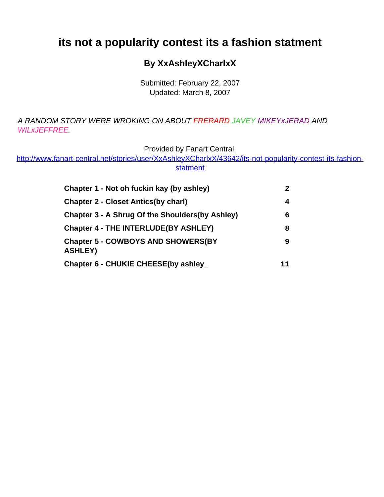# <span id="page-0-0"></span>**its not a popularity contest its a fashion statment**

#### **By XxAshleyXCharlxX**

Submitted: February 22, 2007 Updated: March 8, 2007

A RANDOM STORY WERE WROKING ON ABOUT FRERARD JAVEY MIKEYxJERAD AND WILxJEFFREE.

Provided by Fanart Central.

[http://www.fanart-central.net/stories/user/XxAshleyXCharlxX/43642/its-not-popularity-contest-its-fashion](#page-0-0)**[statment](#page-0-0)** 

| Chapter 1 - Not oh fuckin kay (by ashley)<br><b>Chapter 2 - Closet Antics(by charl)</b> | 2<br>4 |
|-----------------------------------------------------------------------------------------|--------|
|                                                                                         |        |
| <b>Chapter 4 - THE INTERLUDE(BY ASHLEY)</b>                                             | 8      |
| <b>Chapter 5 - COWBOYS AND SHOWERS(BY</b><br><b>ASHLEY)</b>                             | 9      |
| Chapter 6 - CHUKIE CHEESE(by ashley                                                     | 11     |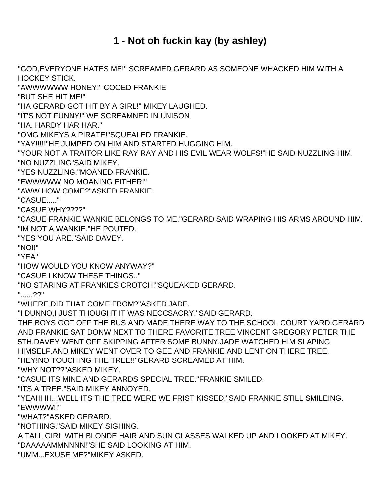### **1 - Not oh fuckin kay (by ashley)**

<span id="page-1-0"></span>"GOD,EVERYONE HATES ME!" SCREAMED GERARD AS SOMEONE WHACKED HIM WITH A HOCKEY STICK. "AWWWWWW HONEY!" COOED FRANKIE "BUT SHE HIT ME!" "HA GERARD GOT HIT BY A GIRL!" MIKEY LAUGHED. "IT'S NOT FUNNY!" WE SCREAMNED IN UNISON "HA. HARDY HAR HAR." "OMG MIKEYS A PIRATE!"SQUEALED FRANKIE. "YAY!!!!!"HE JUMPED ON HIM AND STARTED HUGGING HIM. "YOUR NOT A TRAITOR LIKE RAY RAY AND HIS EVIL WEAR WOLFS!"HE SAID NUZZLING HIM. "NO NUZZLING"SAID MIKEY. "YES NUZZLING."MOANED FRANKIE. "EWWWWW NO MOANING EITHER!" "AWW HOW COME?"ASKED FRANKIE. "CASUE....." "CASUE WHY????" "CASUE FRANKIE WANKIE BELONGS TO ME."GERARD SAID WRAPING HIS ARMS AROUND HIM. "IM NOT A WANKIE."HE POUTED. "YES YOU ARE."SAID DAVEY. "NO!!" "YEA" "HOW WOULD YOU KNOW ANYWAY?" "CASUE I KNOW THESE THINGS.." "NO STARING AT FRANKIES CROTCH!"SQUEAKED GERARD. "......??" "WHERE DID THAT COME FROM?"ASKED JADE. "I DUNNO,I JUST THOUGHT IT WAS NECCSACRY."SAID GERARD. THE BOYS GOT OFF THE BUS AND MADE THERE WAY TO THE SCHOOL COURT YARD.GERARD AND FRANKIE SAT DONW NEXT TO THERE FAVORITE TREE VINCENT GREGORY PETER THE 5TH.DAVEY WENT OFF SKIPPING AFTER SOME BUNNY.JADE WATCHED HIM SLAPING HIMSELF.AND MIKEY WENT OVER TO GEE AND FRANKIE AND LENT ON THERE TREE. "HEY!NO TOUCHING THE TREE!!"GERARD SCREAMED AT HIM. "WHY NOT??"ASKED MIKEY. "CASUE ITS MINE AND GERARDS SPECIAL TREE."FRANKIE SMILED. "ITS A TREE."SAID MIKEY ANNOYED. "YEAHHH...WELL ITS THE TREE WERE WE FRIST KISSED."SAID FRANKIE STILL SMILEING. "EWWWW!!" "WHAT?"ASKED GERARD. "NOTHING."SAID MIKEY SIGHING. A TALL GIRL WITH BLONDE HAIR AND SUN GLASSES WALKED UP AND LOOKED AT MIKEY. "DAAAAAMMNNNN!"SHE SAID LOOKING AT HIM.

"UMM...EXUSE ME?"MIKEY ASKED.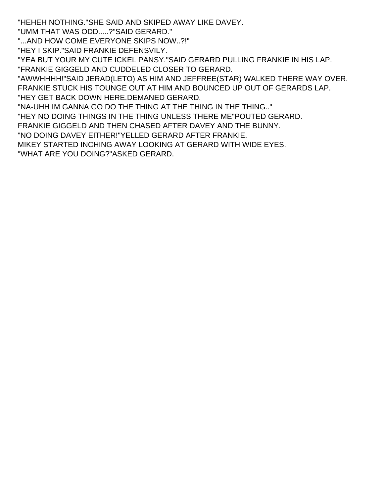"HEHEH NOTHING."SHE SAID AND SKIPED AWAY LIKE DAVEY.

"UMM THAT WAS ODD.....?"SAID GERARD."

"...AND HOW COME EVERYONE SKIPS NOW..?!"

"HEY I SKIP."SAID FRANKIE DEFENSVILY.

"YEA BUT YOUR MY CUTE ICKEL PANSY."SAID GERARD PULLING FRANKIE IN HIS LAP. "FRANKIE GIGGELD AND CUDDELED CLOSER TO GERARD.

"AWWHHHH!"SAID JERAD(LETO) AS HIM AND JEFFREE(STAR) WALKED THERE WAY OVER. FRANKIE STUCK HIS TOUNGE OUT AT HIM AND BOUNCED UP OUT OF GERARDS LAP. "HEY GET BACK DOWN HERE.DEMANED GERARD.

"NA-UHH IM GANNA GO DO THE THING AT THE THING IN THE THING.."

"HEY NO DOING THINGS IN THE THING UNLESS THERE ME"POUTED GERARD.

FRANKIE GIGGELD AND THEN CHASED AFTER DAVEY AND THE BUNNY.

"NO DOING DAVEY EITHER!"YELLED GERARD AFTER FRANKIE.

MIKEY STARTED INCHING AWAY LOOKING AT GERARD WITH WIDE EYES. "WHAT ARE YOU DOING?"ASKED GERARD.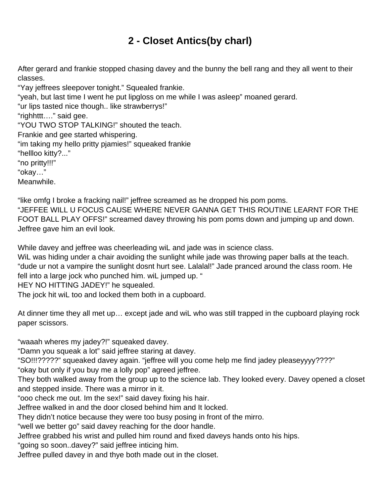# **2 - Closet Antics(by charl)**

<span id="page-3-0"></span>After gerard and frankie stopped chasing davey and the bunny the bell rang and they all went to their classes.

"Yay jeffrees sleepover tonight." Squealed frankie. "yeah, but last time I went he put lipgloss on me while I was asleep" moaned gerard. "ur lips tasted nice though.. like strawberrys!" "righhttt…." said gee. "YOU TWO STOP TALKING!" shouted the teach. Frankie and gee started whispering. "im taking my hello pritty pjamies!" squeaked frankie "hellloo kitty?..." "no pritty!!!" "okay…" Meanwhile.

"like omfg I broke a fracking nail!" jeffree screamed as he dropped his pom poms. "JEFFEE WILL U FOCUS CAUSE WHERE NEVER GANNA GET THIS ROUTINE LEARNT FOR THE FOOT BALL PLAY OFFS!" screamed davey throwing his pom poms down and jumping up and down. Jeffree gave him an evil look.

While davey and jeffree was cheerleading wiL and jade was in science class.

WiL was hiding under a chair avoiding the sunlight while jade was throwing paper balls at the teach. "dude ur not a vampire the sunlight dosnt hurt see. Lalalal!" Jade pranced around the class room. He fell into a large jock who punched him. wiL jumped up. "

HEY NO HITTING JADEY!" he squealed.

The jock hit wiL too and locked them both in a cupboard.

At dinner time they all met up… except jade and wiL who was still trapped in the cupboard playing rock paper scissors.

"waaah wheres my jadey?!" squeaked davey.

"Damn you squeak a lot" said jeffree staring at davey.

"SO!!!?????" squeaked davey again. "jeffree will you come help me find jadey pleaseyyyy????"

"okay but only if you buy me a lolly pop" agreed jeffree.

They both walked away from the group up to the science lab. They looked every. Davey opened a closet and stepped inside. There was a mirror in it.

"ooo check me out. Im the sex!" said davey fixing his hair.

Jeffree walked in and the door closed behind him and It locked.

They didn't notice because they were too busy posing in front of the mirro.

"well we better go" said davey reaching for the door handle.

Jeffree grabbed his wrist and pulled him round and fixed daveys hands onto his hips.

"going so soon..davey?" said jeffree inticing him.

Jeffree pulled davey in and thye both made out in the closet.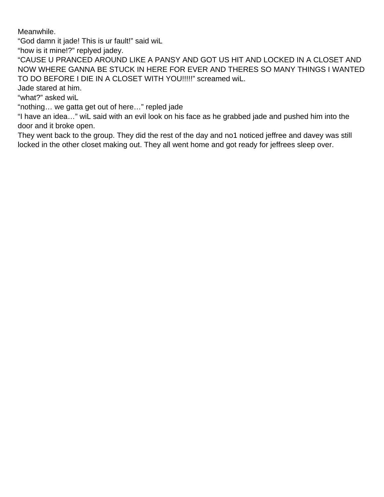Meanwhile.

"God damn it jade! This is ur fault!" said wiL

"how is it mine!?" replyed jadey.

"CAUSE U PRANCED AROUND LIKE A PANSY AND GOT US HIT AND LOCKED IN A CLOSET AND NOW WHERE GANNA BE STUCK IN HERE FOR EVER AND THERES SO MANY THINGS I WANTED TO DO BEFORE I DIE IN A CLOSET WITH YOU!!!!!" screamed wiL.

Jade stared at him.

"what?" asked wiL

"nothing… we gatta get out of here…" repled jade

"I have an idea…" wiL said with an evil look on his face as he grabbed jade and pushed him into the door and it broke open.

They went back to the group. They did the rest of the day and no1 noticed jeffree and davey was still locked in the other closet making out. They all went home and got ready for jeffrees sleep over.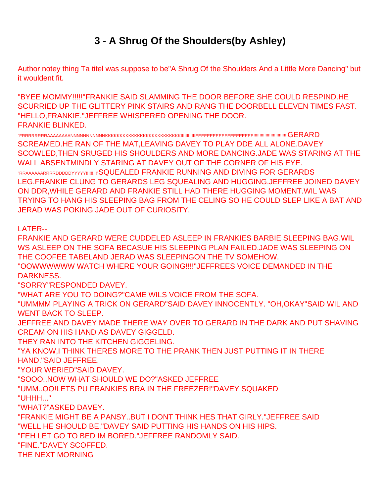### **3 - A Shrug Of the Shoulders(by Ashley)**

<span id="page-5-0"></span>Author notey thing Ta titel was suppose to be"A Shrug Of the Shoulders And a Little More Dancing" but it wouldent fit.

"BYEE MOMMY!!!!!"FRANKIE SAID SLAMMING THE DOOR BEFORE SHE COULD RESPIND.HE SCURRIED UP THE GLITTERY PINK STAIRS AND RANG THE DOORBELL ELEVEN TIMES FAST. "HELLO,FRANKIE."JEFFREE WHISPERED OPENING THE DOOR. FRANKIE BLINKED.

"FRRRRRRRRAAAAAAAANNNNNNNNNNNKKKKKKKKKKKKKKKKKKKKKKKKKKIIIIIIIIIIIIEEEEEEEEEEEEEEEEEEEE!!!!!!!!!!!!!!!!!!!!!!!!!!!!GERARD SCREAMED.HE RAN OF THE MAT,LEAVING DAVEY TO PLAY DDE ALL ALONE.DAVEY SCOWLED,THEN SRUGED HIS SHOULDERS AND MORE DANCING.JADE WAS STARING AT THE WALL ABSENTMINDLY STARING AT DAVEY OUT OF THE CORNER OF HIS EYE. "RRAAAAAARRRRDDDDDYYYYY!!!!!!!!!"SQUEALED FRANKIE RUNNING AND DIVING FOR GERARDS LEG.FRANKIE CLUNG TO GERARDS LEG SQUEALING AND HUGGING.JEFFREE JOINED DAVEY ON DDR,WHILE GERARD AND FRANKIE STILL HAD THERE HUGGING MOMENT.WIL WAS TRYING TO HANG HIS SLEEPING BAG FROM THE CELING SO HE COULD SLEP LIKE A BAT AND JERAD WAS POKING JADE OUT OF CURIOSITY.

LATER--

FRANKIE AND GERARD WERE CUDDELED ASLEEP IN FRANKIES BARBIE SLEEPING BAG.WIL WS ASLEEP ON THE SOFA BECASUE HIS SLEEPING PLAN FAILED.JADE WAS SLEEPING ON THE COOFEE TABELAND JERAD WAS SLEEPINGON THE TV SOMEHOW. "OOWWWWWW WATCH WHERE YOUR GOING!!!!"JEFFREES VOICE DEMANDED IN THE DARKNESS. "SORRY"RESPONDED DAVEY. "WHAT ARE YOU TO DOING?"CAME WILS VOICE FROM THE SOFA. "UMMMM PLAYING A TRICK ON GERARD"SAID DAVEY INNOCENTLY. "OH,OKAY"SAID WIL AND WENT BACK TO SLEEP. JEFFREE AND DAVEY MADE THERE WAY OVER TO GERARD IN THE DARK AND PUT SHAVING CREAM ON HIS HAND AS DAVEY GIGGELD. THEY RAN INTO THE KITCHEN GIGGELING. "YA KNOW,I THINK THERES MORE TO THE PRANK THEN JUST PUTTING IT IN THERE HAND."SAID JEFFREE. "YOUR WERIED"SAID DAVEY. "SOOO..NOW WHAT SHOULD WE DO?"ASKED JEFFREE "UMM..OO!LETS PU FRANKIES BRA IN THE FREEZER!"DAVEY SQUAKED "UHHH..." "WHAT?"ASKED DAVEY. "FRANKIE MIGHT BE A PANSY..BUT I DONT THINK HES THAT GIRLY."JEFFREE SAID "WELL HE SHOULD BE."DAVEY SAID PUTTING HIS HANDS ON HIS HIPS. "FEH LET GO TO BED IM BORED."JEFFREE RANDOMLY SAID. "FINE."DAVEY SCOFFED. THE NEXT MORNING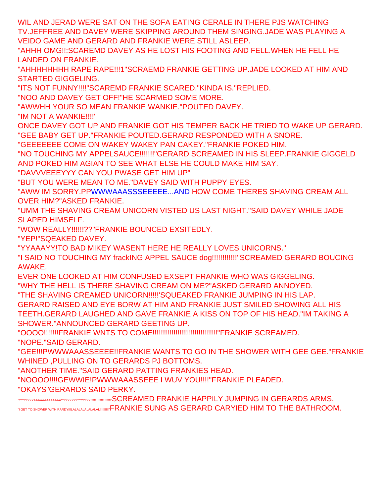WIL AND JERAD WERE SAT ON THE SOFA EATING CERALE IN THERE PJS WATCHING TV.JEFFREE AND DAVEY WERE SKIPPING AROUND THEM SINGING.JADE WAS PLAYING A VEIDO GAME AND GERARD AND FRANKIE WERE STILL ASLEEP.

"AHHH OMG!!:SCAREMD DAVEY AS HE LOST HIS FOOTING AND FELL.WHEN HE FELL HE LANDED ON FRANKIE.

"AHHHHHHHH RAPE RAPE!!!1"SCRAEMD FRANKIE GETTING UP.JADE LOOKED AT HIM AND STARTED GIGGELING.

"ITS NOT FUNNY!!!!"SCAREMD FRANKIE SCARED."KINDA IS."REPLIED.

"NOO AND DAVEY GET OFF!"HE SCARMED SOME MORE.

"AWWHH YOUR SO MEAN FRANKIE WANKIE."POUTED DAVEY.

"IM NOT A WANKIE!!!!"

ONCE DAVEY GOT UP AND FRANKIE GOT HIS TEMPER BACK HE TRIED TO WAKE UP GERARD. "GEE BABY GET UP."FRANKIE POUTED.GERARD RESPONDED WITH A SNORE.

"GEEEEEEE COME ON WAKEY WAKEY PAN CAKEY."FRANKIE POKED HIM.

"NO TOUCHING MY APPELSAUCE!!!!!!!"GERARD SCREAMED IN HIS SLEEP.FRANKIE GIGGELD AND POKED HIM AGIAN TO SEE WHAT ELSE HE COULD MAKE HIM SAY.

"DAVVVEEEYYY CAN YOU PWASE GET HIM UP"

"BUT YOU WERE MEAN TO ME."DAVEY SAID WITH PUPPY EYES.

"AWW IM SORRY.P[PWWWAAASSSEEEEE...AND](http://WWWAAASSSEEEEE...AND/) HOW COME THERES SHAVING CREAM ALL OVER HIM?"ASKED FRANKIE.

"UMM THE SHAVING CREAM UNICORN VISTED US LAST NIGHT."SAID DAVEY WHILE JADE SLAPED HIMSELF.

"WOW REALLY!!!!!!??"FRANKIE BOUNCED EXSITEDLY.

"YEP!"SQEAKED DAVEY.

"YYAAAYY!TO BAD MIKEY WASENT HERE HE REALLY LOVES UNICORNS."

"I SAID NO TOUCHING MY frackING APPEL SAUCE dog!!!!!!!!!!!!"SCREAMED GERARD BOUCING AWAKE.

EVER ONE LOOKED AT HIM CONFUSED EXSEPT FRANKIE WHO WAS GIGGELING.

"WHY THE HELL IS THERE SHAVING CREAM ON ME?"ASKED GERARD ANNOYED.

"THE SHAVING CREAMED UNICORN!!!!!'SQUEAKED FRANKIE JUMPING IN HIS LAP.

GERARD RAISED AND EYE BORW AT HIM AND FRANKIE JUST SMILED SHOWING ALL HIS TEETH.GERARD LAUGHED AND GAVE FRANKIE A KISS ON TOP OF HIS HEAD."IM TAKING A SHOWER."ANNOUNCED GERARD GEETING UP.

"OOOO!!!!!!!FRANKIE WNTS TO COME!!!!!!!!!!!!!!!!!!!!!!!!!!!!!!!"FRANKIE SCREAMED. "NOPE."SAID GERARD.

"GEE!!!PWWWAAASSEEEE!!FRANKIE WANTS TO GO IN THE SHOWER WITH GEE GEE."FRANKIE WHINED ,PULLING ON TO GERARDS PJ BOTTOMS.

"ANOTHER TIME."SAID GERARD PATTING FRANKIES HEAD.

"NOOOO!!!!GEWWIE!PWWWAAASSEEE I WUV YOU!!!!"FRANKIE PLEADED.

"OKAYS"GERARDS SAID PERKY.

"YYYYYYYAAAAAAAAAAAAAYYYYYYYYYYYYYY!!!!!!!!!!!!!!!!!!!!!!!"SCREAMED FRANKIE HAPPILY JUMPING IN GERARDS ARMS. "I GET TO SHOWER WITH RARDY!!!LALALALALALALAL!!!!!!!!!!"FRANKIE SUNG AS GERARD CARYIED HIM TO THE BATHROOM.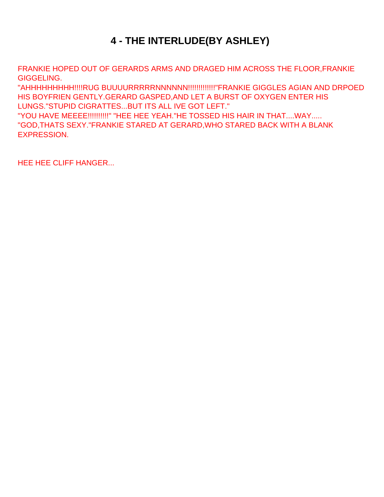# **4 - THE INTERLUDE(BY ASHLEY)**

<span id="page-7-0"></span>FRANKIE HOPED OUT OF GERARDS ARMS AND DRAGED HIM ACROSS THE FLOOR,FRANKIE GIGGELING.

"AHHHHHHHHH!!!!RUG BUUUURRRRRNNNNNN!!!!!!!!!!!!!"FRANKIE GIGGLES AGIAN AND DRPOED HIS BOYFRIEN GENTLY.GERARD GASPED,AND LET A BURST OF OXYGEN ENTER HIS LUNGS."STUPID CIGRATTES...BUT ITS ALL IVE GOT LEFT."

"YOU HAVE MEEEE!!!!!!!!!!" "HEE HEE YEAH."HE TOSSED HIS HAIR IN THAT....WAY..... "GOD,THATS SEXY."FRANKIE STARED AT GERARD,WHO STARED BACK WITH A BLANK EXPRESSION.

HEE HEE CLIFF HANGER...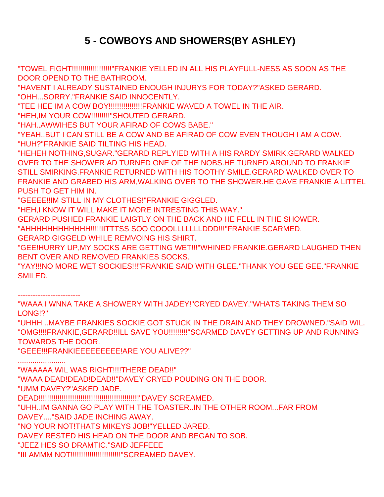# **5 - COWBOYS AND SHOWERS(BY ASHLEY)**

<span id="page-8-0"></span>"TOWEL FIGHT!!!!!!!!!!!!!!!!!!!"FRANKIE YELLED IN ALL HIS PLAYFULL-NESS AS SOON AS THE DOOR OPEND TO THE BATHROOM.

"HAVENT I ALREADY SUSTAINED ENOUGH INJURYS FOR TODAY?"ASKED GERARD. "OHH...SORRY."FRANKIE SAID INNOCENTLY.

"TEE HEE IM A COW BOY!!!!!!!!!!!!!!!!FRANKIE WAVED A TOWEL IN THE AIR.

"HEH,IM YOUR COW!!!!!!!!!"SHOUTED GERARD.

"HAH..AWWIHES BUT YOUR AFIRAD OF COWS BABE."

"YEAH..BUT I CAN STILL BE A COW AND BE AFIRAD OF COW EVEN THOUGH I AM A COW. "HUH?"FRANKIE SAID TILTING HIS HEAD.

"HEHEH NOTHING,SUGAR."GERARD REPLYIED WITH A HIS RARDY SMIRK.GERARD WALKED OVER TO THE SHOWER AD TURNED ONE OF THE NOBS.HE TURNED AROUND TO FRANKIE STILL SMIRKING.FRANKIE RETURNED WITH HIS TOOTHY SMILE.GERARD WALKED OVER TO FRANKIE AND GRABED HIS ARM,WALKING OVER TO THE SHOWER.HE GAVE FRANKIE A LITTEL PUSH TO GET HIM IN.

"GEEEE!!IM STILL IN MY CLOTHES!"FRANKIE GIGGLED.

"HEH,I KNOW IT WILL MAKE IT MORE INTRESTING THIS WAY."

GERARD PUSHED FRANKIE LAIGTLY ON THE BACK AND HE FELL IN THE SHOWER.

"AHHHHHHHHHHHH!!!!!IITTTSS SOO COOOLLLLLLLDDD!!!"FRANKIE SCARMED.

GERARD GIGGELD WHILE REMVOING HIS SHIRT.

"GEE!HURRY UP,MY SOCKS ARE GETTING WET!!!"WHINED FRANKIE.GERARD LAUGHED THEN BENT OVER AND REMOVED FRANKIES SOCKS.

"YAY!!!NO MORE WET SOCKIES!!!"FRANKIE SAID WITH GLEE."THANK YOU GEE GEE."FRANKIE SMILED.

-------------------------

"WAAA I WNNA TAKE A SHOWERY WITH JADEY!"CRYED DAVEY."WHATS TAKING THEM SO LONG!?"

"UHHH ..MAYBE FRANKIES SOCKIE GOT STUCK IN THE DRAIN AND THEY DROWNED."SAID WIL. "OMG!!!!FRANKIE,GERARD!!ILL SAVE YOU!!!!!!!!!"SCARMED DAVEY GETTING UP AND RUNNING TOWARDS THE DOOR.

"GEEE!!!FRANKIEEEEEEEEE!ARE YOU ALIVE??"

.......................

"WAAAAA WIL WAS RIGHT!!!!THERE DEAD!!" "WAAA DEAD!DEAD!DEAD!!"DAVEY CRYED POUDING ON THE DOOR. "UMM DAVEY?"ASKED JADE. DEAD!!!!!!!!!!!!!!!!!!!!!!!!!!!!!!!!!!!!!!!!!!!!!!!!"DAVEY SCREAMED. "UHH..IM GANNA GO PLAY WITH THE TOASTER..IN THE OTHER ROOM...FAR FROM DAVEY...."SAID JADE INCHING AWAY. "NO YOUR NOT!THATS MIKEYS JOB!"YELLED JARED. DAVEY RESTED HIS HEAD ON THE DOOR AND BEGAN TO SOB.

"JEEZ HES SO DRAMTIC."SAID JEFFEEE

"III AMMM NOT!!!!!!!!!!!!!!!!!!!!!!!!"SCREAMED DAVEY.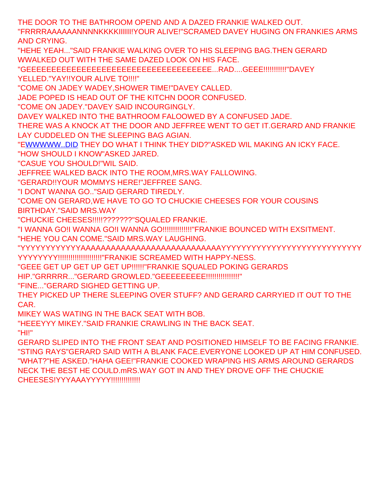THE DOOR TO THE BATHROOM OPEND AND A DAZED FRANKIE WALKED OUT.

"FRRRRAAAAAANNNNKKKKIIIIII!YOUR ALIVE!"SCRAMED DAVEY HUGING ON FRANKIES ARMS AND CRYING.

"HEHE YEAH..."SAID FRANKIE WALKING OVER TO HIS SLEEPING BAG.THEN GERARD WWALKED OUT WITH THE SAME DAZED LOOK ON HIS FACE.

"GEEEEEEEEEEEEEEEEEEEEEEEEEEEEEEEEEEEEE...RAD....GEEE!!!!!!!!!!!"DAVEY YELLED."YAY!!YOUR ALIVE TO!!!!"

"COME ON JADEY WADEY,SHOWER TIME!"DAVEY CALLED.

JADE POPED IS HEAD OUT OF THE KITCHN DOOR CONFUSED.

"COME ON JADEY."DAVEY SAID INCOURGINGLY.

DAVEY WALKED INTO THE BATHROOM FALOOWED BY A CONFUSED JADE.

THERE WAS A KNOCK AT THE DOOR AND JEFFREE WENT TO GET IT.GERARD AND FRANKIE LAY CUDDELED ON THE SLEEPING BAG AGIAN.

"E[WWWWW..DID](http://WWWWW..DID/) THEY DO WHAT I THINK THEY DID?"ASKED WIL MAKING AN ICKY FACE.

"HOW SHOULD I KNOW"ASKED JARED.

"CASUE YOU SHOULD!"WIL SAID.

JEFFREE WALKED BACK INTO THE ROOM,MRS.WAY FALLOWING.

"GERARD!!YOUR MOMMYS HERE!"JEFFREE SANG.

"I DONT WANNA GO.."SAID GERARD TIREDLY.

"COME ON GERARD,WE HAVE TO GO TO CHUCKIE CHEESES FOR YOUR COUSINS BIRTHDAY."SAID MRS.WAY

"CHUCKIE CHEESES!!!!!???????"SQUALED FRANKIE.

"I WANNA GO!I WANNA GO!I WANNA GO!!!!!!!!!!!!!!"FRANKIE BOUNCED WITH EXSITMENT.

"HEHE YOU CAN COME."SAID MRS.WAY LAUGHING.

"YYYYYYYYYYYYAAAAAAAAAAAAAAAAAAAAAAAAAAAAYYYYYYYYYYYYYYYYYYYYYYYYYYYY YYYYYYYY!!!!!!!!!!!!!!!!!!!!!"FRANKIE SCREAMED WITH HAPPY-NESS.

"GEEE GET UP GET UP GET UP!!!!!!"FRANKIE SQUALED POKING GERARDS

HIP."GRRRRR..."GERARD GROWLED."GEEEEEEEEE!!!!!!!!!!!!!!!!!!!

"FINE..."GERARD SIGHED GETTING UP.

THEY PICKED UP THERE SLEEPING OVER STUFF? AND GERARD CARRYIED IT OUT TO THE CAR.

MIKEY WAS WATING IN THE BACK SEAT WITH BOB.

"HEEEYYY MIKEY."SAID FRANKIE CRAWLING IN THE BACK SEAT.

"HI!"

GERARD SLIPED INTO THE FRONT SEAT AND POSITIONED HIMSELF TO BE FACING FRANKIE. "STING RAYS"GERARD SAID WITH A BLANK FACE.EVERYONE LOOKED UP AT HIM CONFUSED. "WHAT?"HE ASKED."HAHA GEE!"FRANKIE COOKED WRAPING HIS ARMS AROUND GERARDS NECK THE BEST HE COULD.mRS.WAY GOT IN AND THEY DROVE OFF THE CHUCKIE CHEESES!YYYAAAYYYYY!!!!!!!!!!!!!!!